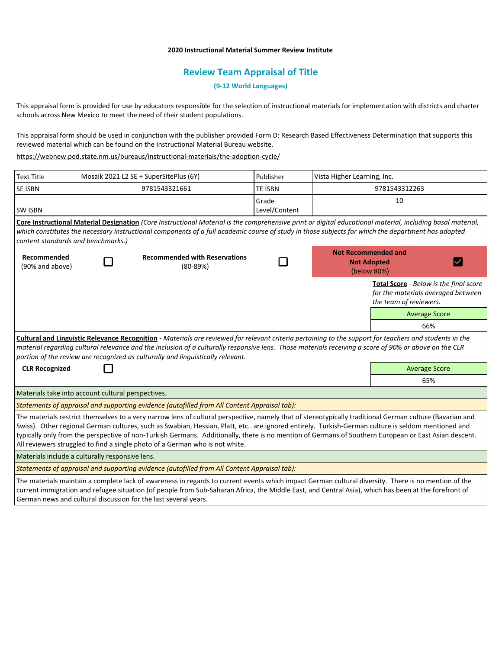## **2020 Instructional Material Summer Review Institute**

## **Review Team Appraisal of Title**

**(9-12 World Languages)**

This appraisal form is provided for use by educators responsible for the selection of instructional materials for implementation with districts and charter schools across New Mexico to meet the need of their student populations.

This appraisal form should be used in conjunction with the publisher provided Form D: Research Based Effectiveness Determination that supports this reviewed material which can be found on the Instructional Material Bureau website.

<https://webnew.ped.state.nm.us/bureaus/instructional-materials/the-adoption-cycle/>

German news and cultural discussion for the last several years.

| <b>Text Title</b>                                                                                                                                                                                                                                                                                                                                                                                                                                                                                                                                     | Mosaik 2021 L2 SE + SuperSitePlus (6Y) |                                                    | Publisher              | Vista Higher Learning, Inc.                                           |                                                                                                        |  |
|-------------------------------------------------------------------------------------------------------------------------------------------------------------------------------------------------------------------------------------------------------------------------------------------------------------------------------------------------------------------------------------------------------------------------------------------------------------------------------------------------------------------------------------------------------|----------------------------------------|----------------------------------------------------|------------------------|-----------------------------------------------------------------------|--------------------------------------------------------------------------------------------------------|--|
| <b>SE ISBN</b>                                                                                                                                                                                                                                                                                                                                                                                                                                                                                                                                        | 9781543321661                          |                                                    | <b>TE ISBN</b>         | 9781543312263                                                         |                                                                                                        |  |
| <b>SW ISBN</b>                                                                                                                                                                                                                                                                                                                                                                                                                                                                                                                                        |                                        |                                                    | Grade<br>Level/Content | 10                                                                    |                                                                                                        |  |
| Core Instructional Material Designation (Core Instructional Material is the comprehensive print or digital educational material, including basal material,<br>which constitutes the necessary instructional components of a full academic course of study in those subjects for which the department has adopted<br>content standards and benchmarks.)                                                                                                                                                                                                |                                        |                                                    |                        |                                                                       |                                                                                                        |  |
| Recommended<br>(90% and above)                                                                                                                                                                                                                                                                                                                                                                                                                                                                                                                        |                                        | <b>Recommended with Reservations</b><br>$(80-89%)$ |                        | <b>Not Recommended and</b><br><b>Not Adopted</b><br>IV<br>(below 80%) |                                                                                                        |  |
|                                                                                                                                                                                                                                                                                                                                                                                                                                                                                                                                                       |                                        |                                                    |                        |                                                                       | Total Score - Below is the final score<br>for the materials averaged between<br>the team of reviewers. |  |
|                                                                                                                                                                                                                                                                                                                                                                                                                                                                                                                                                       |                                        |                                                    |                        |                                                                       | <b>Average Score</b>                                                                                   |  |
|                                                                                                                                                                                                                                                                                                                                                                                                                                                                                                                                                       |                                        |                                                    |                        |                                                                       | 66%                                                                                                    |  |
| Cultural and Linguistic Relevance Recognition - Materials are reviewed for relevant criteria pertaining to the support for teachers and students in the<br>material regarding cultural relevance and the inclusion of a culturally responsive lens. Those materials receiving a score of 90% or above on the CLR<br>portion of the review are recognized as culturally and linguistically relevant.                                                                                                                                                   |                                        |                                                    |                        |                                                                       |                                                                                                        |  |
| <b>CLR Recognized</b>                                                                                                                                                                                                                                                                                                                                                                                                                                                                                                                                 |                                        |                                                    |                        | <b>Average Score</b>                                                  |                                                                                                        |  |
|                                                                                                                                                                                                                                                                                                                                                                                                                                                                                                                                                       |                                        |                                                    |                        |                                                                       | 65%                                                                                                    |  |
| Materials take into account cultural perspectives.                                                                                                                                                                                                                                                                                                                                                                                                                                                                                                    |                                        |                                                    |                        |                                                                       |                                                                                                        |  |
| Statements of appraisal and supporting evidence (autofilled from All Content Appraisal tab):                                                                                                                                                                                                                                                                                                                                                                                                                                                          |                                        |                                                    |                        |                                                                       |                                                                                                        |  |
| The materials restrict themselves to a very narrow lens of cultural perspective, namely that of stereotypically traditional German culture (Bavarian and<br>Swiss). Other regional German cultures, such as Swabian, Hessian, Platt, etc are ignored entirely. Turkish-German culture is seldom mentioned and<br>typically only from the perspective of non-Turkish Germans. Additionally, there is no mention of Germans of Southern European or East Asian descent.<br>All reviewers struggled to find a single photo of a German who is not white. |                                        |                                                    |                        |                                                                       |                                                                                                        |  |
| Materials include a culturally responsive lens.                                                                                                                                                                                                                                                                                                                                                                                                                                                                                                       |                                        |                                                    |                        |                                                                       |                                                                                                        |  |
| Statements of appraisal and supporting evidence (autofilled from All Content Appraisal tab):                                                                                                                                                                                                                                                                                                                                                                                                                                                          |                                        |                                                    |                        |                                                                       |                                                                                                        |  |
| The materials maintain a complete lack of awareness in regards to current events which impact German cultural diversity. There is no mention of the<br>current immigration and refugee situation (of people from Sub-Saharan Africa, the Middle East, and Central Asia), which has been at the forefront of                                                                                                                                                                                                                                           |                                        |                                                    |                        |                                                                       |                                                                                                        |  |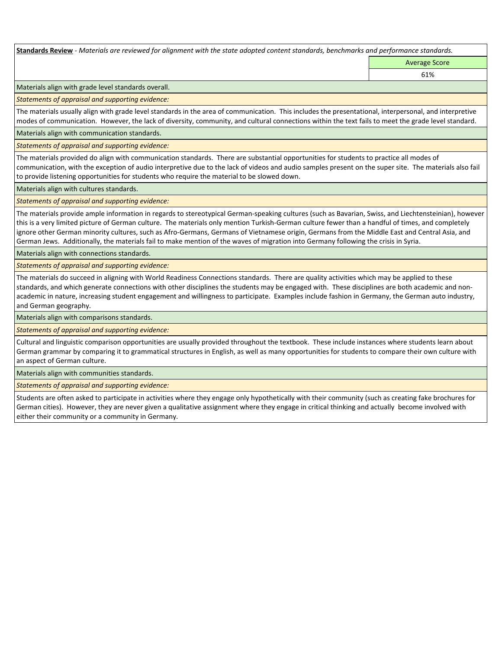**Standards Review** *- Materials are reviewed for alignment with the state adopted content standards, benchmarks and performance standards.*

Average Score

61%

Materials align with grade level standards overall.

*Statements of appraisal and supporting evidence:* 

The materials usually align with grade level standards in the area of communication. This includes the presentational, interpersonal, and interpretive modes of communication. However, the lack of diversity, community, and cultural connections within the text fails to meet the grade level standard.

Materials align with communication standards.

*Statements of appraisal and supporting evidence:* 

The materials provided do align with communication standards. There are substantial opportunities for students to practice all modes of communication, with the exception of audio interpretive due to the lack of videos and audio samples present on the super site. The materials also fail to provide listening opportunities for students who require the material to be slowed down.

Materials align with cultures standards.

*Statements of appraisal and supporting evidence:* 

The materials provide ample information in regards to stereotypical German-speaking cultures (such as Bavarian, Swiss, and Liechtensteinian), however this is a very limited picture of German culture. The materials only mention Turkish-German culture fewer than a handful of times, and completely ignore other German minority cultures, such as Afro-Germans, Germans of Vietnamese origin, Germans from the Middle East and Central Asia, and German Jews. Additionally, the materials fail to make mention of the waves of migration into Germany following the crisis in Syria.

Materials align with connections standards.

*Statements of appraisal and supporting evidence:* 

The materials do succeed in aligning with World Readiness Connections standards. There are quality activities which may be applied to these standards, and which generate connections with other disciplines the students may be engaged with. These disciplines are both academic and nonacademic in nature, increasing student engagement and willingness to participate. Examples include fashion in Germany, the German auto industry, and German geography.

Materials align with comparisons standards.

*Statements of appraisal and supporting evidence:* 

Cultural and linguistic comparison opportunities are usually provided throughout the textbook. These include instances where students learn about German grammar by comparing it to grammatical structures in English, as well as many opportunities for students to compare their own culture with an aspect of German culture.

Materials align with communities standards.

*Statements of appraisal and supporting evidence:* 

Students are often asked to participate in activities where they engage only hypothetically with their community (such as creating fake brochures for German cities). However, they are never given a qualitative assignment where they engage in critical thinking and actually become involved with either their community or a community in Germany.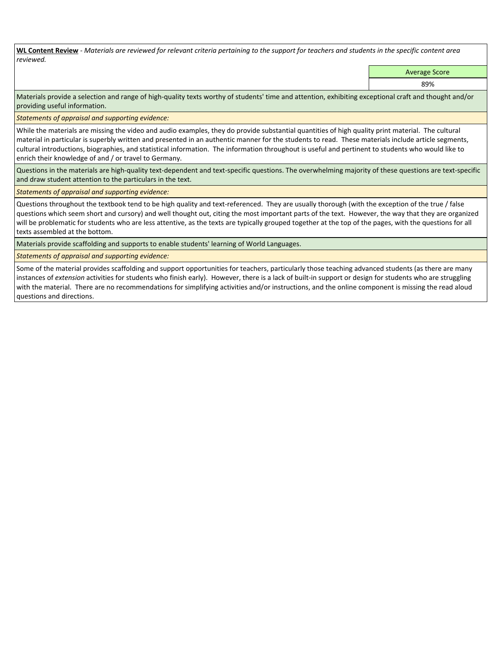**WL Content Review** *- Materials are reviewed for relevant criteria pertaining to the support for teachers and students in the specific content area reviewed.*

Average Score

89%

Materials provide a selection and range of high-quality texts worthy of students' time and attention, exhibiting exceptional craft and thought and/or providing useful information.

*Statements of appraisal and supporting evidence:* 

While the materials are missing the video and audio examples, they do provide substantial quantities of high quality print material. The cultural material in particular is superbly written and presented in an authentic manner for the students to read. These materials include article segments, cultural introductions, biographies, and statistical information. The information throughout is useful and pertinent to students who would like to enrich their knowledge of and / or travel to Germany.

Questions in the materials are high-quality text-dependent and text-specific questions. The overwhelming majority of these questions are text-specific and draw student attention to the particulars in the text.

*Statements of appraisal and supporting evidence:* 

Questions throughout the textbook tend to be high quality and text-referenced. They are usually thorough (with the exception of the true / false questions which seem short and cursory) and well thought out, citing the most important parts of the text. However, the way that they are organized will be problematic for students who are less attentive, as the texts are typically grouped together at the top of the pages, with the questions for all texts assembled at the bottom.

Materials provide scaffolding and supports to enable students' learning of World Languages.

*Statements of appraisal and supporting evidence:* 

Some of the material provides scaffolding and support opportunities for teachers, particularly those teaching advanced students (as there are many instances of *extension* activities for students who finish early). However, there is a lack of built-in support or design for students who are struggling with the material. There are no recommendations for simplifying activities and/or instructions, and the online component is missing the read aloud questions and directions.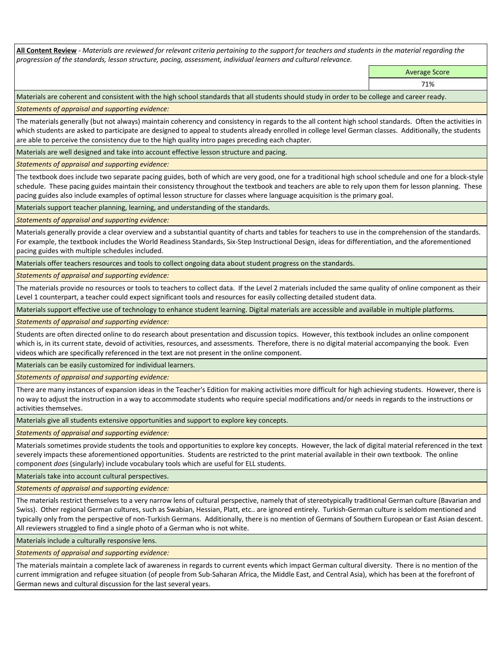**All Content Review** *- Materials are reviewed for relevant criteria pertaining to the support for teachers and students in the material regarding the progression of the standards, lesson structure, pacing, assessment, individual learners and cultural relevance.*

> Average Score 71%

Materials are coherent and consistent with the high school standards that all students should study in order to be college and career ready.

*Statements of appraisal and supporting evidence:*

The materials generally (but not always) maintain coherency and consistency in regards to the all content high school standards. Often the activities in which students are asked to participate are designed to appeal to students already enrolled in college level German classes. Additionally, the students are able to perceive the consistency due to the high quality intro pages preceding each chapter.

Materials are well designed and take into account effective lesson structure and pacing.

*Statements of appraisal and supporting evidence:*

The textbook does include two separate pacing guides, both of which are very good, one for a traditional high school schedule and one for a block-style schedule. These pacing guides maintain their consistency throughout the textbook and teachers are able to rely upon them for lesson planning. These pacing guides also include examples of optimal lesson structure for classes where language acquisition is the primary goal.

Materials support teacher planning, learning, and understanding of the standards.

*Statements of appraisal and supporting evidence:*

Materials generally provide a clear overview and a substantial quantity of charts and tables for teachers to use in the comprehension of the standards. For example, the textbook includes the World Readiness Standards, Six-Step Instructional Design, ideas for differentiation, and the aforementioned pacing guides with multiple schedules included.

Materials offer teachers resources and tools to collect ongoing data about student progress on the standards.

*Statements of appraisal and supporting evidence:*

The materials provide no resources or tools to teachers to collect data. If the Level 2 materials included the same quality of online component as their Level 1 counterpart, a teacher could expect significant tools and resources for easily collecting detailed student data.

Materials support effective use of technology to enhance student learning. Digital materials are accessible and available in multiple platforms.

*Statements of appraisal and supporting evidence:*

Students are often directed online to do research about presentation and discussion topics. However, this textbook includes an online component which is, in its current state, devoid of activities, resources, and assessments. Therefore, there is no digital material accompanying the book. Even videos which are specifically referenced in the text are not present in the online component.

Materials can be easily customized for individual learners.

*Statements of appraisal and supporting evidence:* 

There are many instances of expansion ideas in the Teacher's Edition for making activities more difficult for high achieving students. However, there is no way to adjust the instruction in a way to accommodate students who require special modifications and/or needs in regards to the instructions or activities themselves.

Materials give all students extensive opportunities and support to explore key concepts.

*Statements of appraisal and supporting evidence:*

Materials sometimes provide students the tools and opportunities to explore key concepts. However, the lack of digital material referenced in the text severely impacts these aforementioned opportunities. Students are restricted to the print material available in their own textbook. The online component *does* (singularly) include vocabulary tools which are useful for ELL students.

Materials take into account cultural perspectives.

*Statements of appraisal and supporting evidence:*

The materials restrict themselves to a very narrow lens of cultural perspective, namely that of stereotypically traditional German culture (Bavarian and Swiss). Other regional German cultures, such as Swabian, Hessian, Platt, etc.. are ignored entirely. Turkish-German culture is seldom mentioned and typically only from the perspective of non-Turkish Germans. Additionally, there is no mention of Germans of Southern European or East Asian descent. All reviewers struggled to find a single photo of a German who is not white.

Materials include a culturally responsive lens.

*Statements of appraisal and supporting evidence:*

The materials maintain a complete lack of awareness in regards to current events which impact German cultural diversity. There is no mention of the current immigration and refugee situation (of people from Sub-Saharan Africa, the Middle East, and Central Asia), which has been at the forefront of German news and cultural discussion for the last several years.